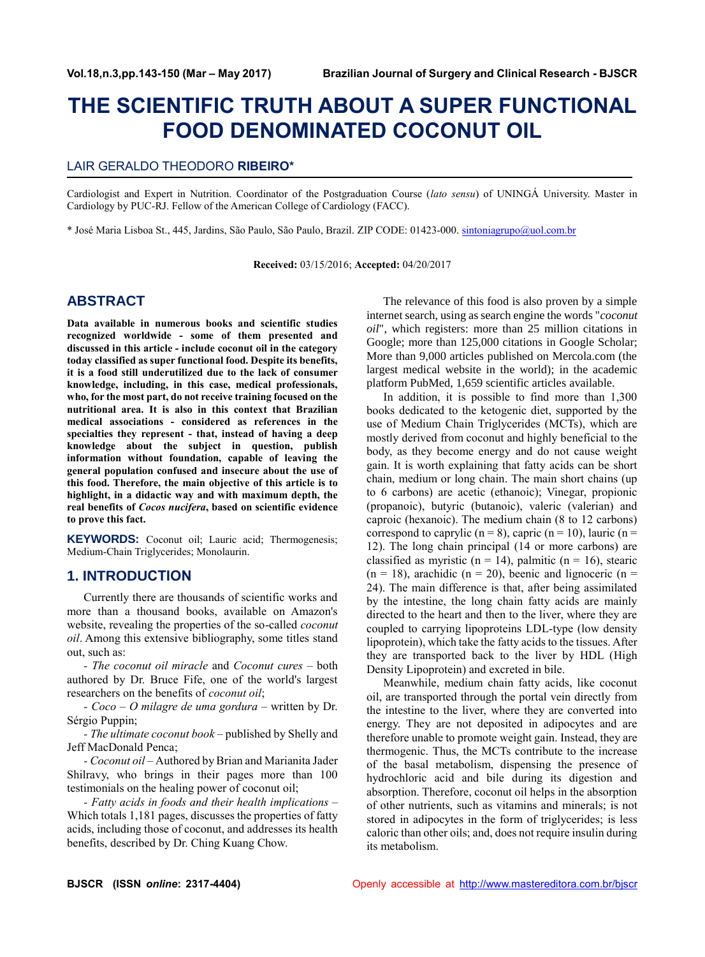# **THE SCIENTIFIC TRUTH ABOUT A SUPER FUNCTIONAL FOOD DENOMINATED COCONUT OIL**

## LAIR GERALDO THEODORO **RIBEIRO\***

Cardiologist and Expert in Nutrition. Coordinator of the Postgraduation Course (*lato sensu*) of UNINGÁ University. Master in Cardiology by PUC-RJ. Fellow of the American College of Cardiology (FACC).

\* José Maria Lisboa St., 445, Jardins, São Paulo, São Paulo, Brazil. ZIP CODE: 01423-000. [sintoniagrupo@uol.com.br](mailto:sintoniagrupo@uol.com.br)

**Received:** 03/15/2016; **Accepted:** 04/20/2017

# **ABSTRACT**

**Data available in numerous books and scientific studies recognized worldwide - some of them presented and discussed in this article - include coconut oil in the category today classified as super functional food. Despite its benefits, it is a food still underutilized due to the lack of consumer knowledge, including, in this case, medical professionals, who, for the most part, do not receive training focused on the nutritional area. It is also in this context that Brazilian medical associations - considered as references in the specialties they represent - that, instead of having a deep knowledge about the subject in question, publish information without foundation, capable of leaving the general population confused and insecure about the use of this food. Therefore, the main objective of this article is to highlight, in a didactic way and with maximum depth, the real benefits of** *Cocos nucifera***, based on scientific evidence to prove this fact.**

**KEYWORDS:** Coconut oil; Lauric acid; Thermogenesis; Medium-Chain Triglycerides; Monolaurin.

## **1. INTRODUCTION**

Currently there are thousands of scientific works and more than a thousand books, available on Amazon's website, revealing the properties of the so-called *coconut oil*. Among this extensive bibliography, some titles stand out, such as:

*- The coconut oil miracle* and *Coconut cures* – both authored by Dr. Bruce Fife, one of the world's largest researchers on the benefits of *coconut oil*;

*- Coco – O milagre de uma gordura* – written by Dr. Sérgio Puppin;

*- The ultimate coconut book* – published by Shelly and Jeff MacDonald Penca;

*- Coconut oil* – Authored by Brian and Marianita Jader Shilravy, who brings in their pages more than 100 testimonials on the healing power of coconut oil;

*- Fatty acids in foods and their health implications* – Which totals 1,181 pages, discusses the properties of fatty acids, including those of coconut, and addresses its health benefits, described by Dr. Ching Kuang Chow.

The relevance of this food is also proven by a simple internet search, using as search engine the words "*coconut oil*", which registers: more than 25 million citations in Google; more than 125,000 citations in Google Scholar; More than 9,000 articles published on Mercola.com (the largest medical website in the world); in the academic platform PubMed, 1,659 scientific articles available.

In addition, it is possible to find more than 1,300 books dedicated to the ketogenic diet, supported by the use of Medium Chain Triglycerides (MCTs), which are mostly derived from coconut and highly beneficial to the body, as they become energy and do not cause weight gain. It is worth explaining that fatty acids can be short chain, medium or long chain. The main short chains (up to 6 carbons) are acetic (ethanoic); Vinegar, propionic (propanoic), butyric (butanoic), valeric (valerian) and caproic (hexanoic). The medium chain (8 to 12 carbons) correspond to caprylic ( $n = 8$ ), capric ( $n = 10$ ), lauric ( $n =$ 12). The long chain principal (14 or more carbons) are classified as myristic ( $n = 14$ ), palmitic ( $n = 16$ ), stearic  $(n = 18)$ , arachidic  $(n = 20)$ , beenic and lignoceric  $(n = 18)$ 24). The main difference is that, after being assimilated by the intestine, the long chain fatty acids are mainly directed to the heart and then to the liver, where they are coupled to carrying lipoproteins LDL-type (low density lipoprotein), which take the fatty acids to the tissues. After they are transported back to the liver by HDL (High Density Lipoprotein) and excreted in bile.

Meanwhile, medium chain fatty acids, like coconut oil, are transported through the portal vein directly from the intestine to the liver, where they are converted into energy. They are not deposited in adipocytes and are therefore unable to promote weight gain. Instead, they are thermogenic. Thus, the MCTs contribute to the increase of the basal metabolism, dispensing the presence of hydrochloric acid and bile during its digestion and absorption. Therefore, coconut oil helps in the absorption of other nutrients, such as vitamins and minerals; is not stored in adipocytes in the form of triglycerides; is less caloric than other oils; and, does not require insulin during its metabolism.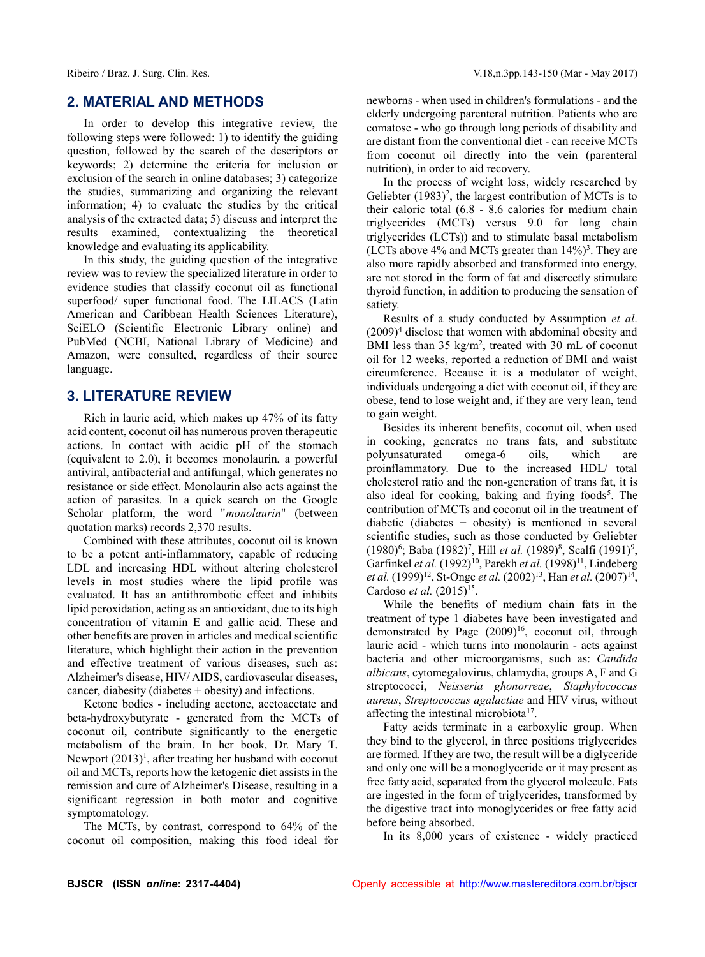# **2. MATERIAL AND METHODS**

In order to develop this integrative review, the following steps were followed: 1) to identify the guiding question, followed by the search of the descriptors or keywords; 2) determine the criteria for inclusion or exclusion of the search in online databases; 3) categorize the studies, summarizing and organizing the relevant information; 4) to evaluate the studies by the critical analysis of the extracted data; 5) discuss and interpret the results examined, contextualizing the theoretical knowledge and evaluating its applicability.

In this study, the guiding question of the integrative review was to review the specialized literature in order to evidence studies that classify coconut oil as functional superfood/ super functional food. The LILACS (Latin American and Caribbean Health Sciences Literature), SciELO (Scientific Electronic Library online) and PubMed (NCBI, National Library of Medicine) and Amazon, were consulted, regardless of their source language.

## **3. LITERATURE REVIEW**

Rich in lauric acid, which makes up 47% of its fatty acid content, coconut oil has numerous proven therapeutic actions. In contact with acidic pH of the stomach (equivalent to 2.0), it becomes monolaurin, a powerful antiviral, antibacterial and antifungal, which generates no resistance or side effect. Monolaurin also acts against the action of parasites. In a quick search on the Google Scholar platform, the word "*monolaurin*" (between quotation marks) records 2,370 results.

Combined with these attributes, coconut oil is known to be a potent anti-inflammatory, capable of reducing LDL and increasing HDL without altering cholesterol levels in most studies where the lipid profile was evaluated. It has an antithrombotic effect and inhibits lipid peroxidation, acting as an antioxidant, due to its high concentration of vitamin E and gallic acid. These and other benefits are proven in articles and medical scientific literature, which highlight their action in the prevention and effective treatment of various diseases, such as: Alzheimer's disease, HIV/ AIDS, cardiovascular diseases, cancer, diabesity (diabetes + obesity) and infections.

Ketone bodies - including acetone, acetoacetate and beta-hydroxybutyrate - generated from the MCTs of coconut oil, contribute significantly to the energetic metabolism of the brain. In her book, Dr. Mary T. Newport (2013)<sup>1</sup>, after treating her husband with coconut oil and MCTs, reports how the ketogenic diet assists in the remission and cure of Alzheimer's Disease, resulting in a significant regression in both motor and cognitive symptomatology.

The MCTs, by contrast, correspond to 64% of the coconut oil composition, making this food ideal for newborns - when used in children's formulations - and the elderly undergoing parenteral nutrition. Patients who are comatose - who go through long periods of disability and are distant from the conventional diet - can receive MCTs from coconut oil directly into the vein (parenteral nutrition), in order to aid recovery.

In the process of weight loss, widely researched by Geliebter  $(1983)^2$ , the largest contribution of MCTs is to their caloric total (6.8 - 8.6 calories for medium chain triglycerides (MCTs) versus 9.0 for long chain triglycerides (LCTs)) and to stimulate basal metabolism (LCTs above 4% and MCTs greater than  $14\%)^3$ . They are also more rapidly absorbed and transformed into energy, are not stored in the form of fat and discreetly stimulate thyroid function, in addition to producing the sensation of satiety.

Results of a study conducted by Assumption *et al*.  $(2009)^4$  disclose that women with abdominal obesity and BMI less than 35 kg/m<sup>2</sup>, treated with 30 mL of coconut oil for 12 weeks, reported a reduction of BMI and waist circumference. Because it is a modulator of weight, individuals undergoing a diet with coconut oil, if they are obese, tend to lose weight and, if they are very lean, tend to gain weight.

Besides its inherent benefits, coconut oil, when used in cooking, generates no trans fats, and substitute polyunsaturated omega-6 oils, which are proinflammatory. Due to the increased HDL/ total cholesterol ratio and the non-generation of trans fat, it is also ideal for cooking, baking and frying foods<sup>5</sup>. The contribution of MCTs and coconut oil in the treatment of diabetic (diabetes  $+$  obesity) is mentioned in several scientific studies, such as those conducted by Geliebter (1980)<sup>6</sup>; Baba (1982)<sup>7</sup>, Hill *et al.* (1989)<sup>8</sup>, Scalfi (1991)<sup>9</sup>, Garfinkel *et al.* (1992)<sup>10</sup>, Parekh *et al.* (1998)<sup>11</sup>, Lindeberg *et al.* (1999)<sup>12</sup>, St-Onge *et al.* (2002)<sup>13</sup>, Han *et al.* (2007)<sup>14</sup>, Cardoso *et al.* (2015)<sup>15</sup>.

While the benefits of medium chain fats in the treatment of type 1 diabetes have been investigated and demonstrated by Page  $(2009)^{16}$ , coconut oil, through lauric acid - which turns into monolaurin - acts against bacteria and other microorganisms, such as: *Candida albicans*, cytomegalovirus, chlamydia, groups A, F and G streptococci, *Neisseria ghonorreae*, *Staphylococcus aureus*, *Streptococcus agalactiae* and HIV virus, without affecting the intestinal microbiota<sup>17</sup>.

Fatty acids terminate in a carboxylic group. When they bind to the glycerol, in three positions triglycerides are formed. If they are two, the result will be a diglyceride and only one will be a monoglyceride or it may present as free fatty acid, separated from the glycerol molecule. Fats are ingested in the form of triglycerides, transformed by the digestive tract into monoglycerides or free fatty acid before being absorbed.

In its 8,000 years of existence - widely practiced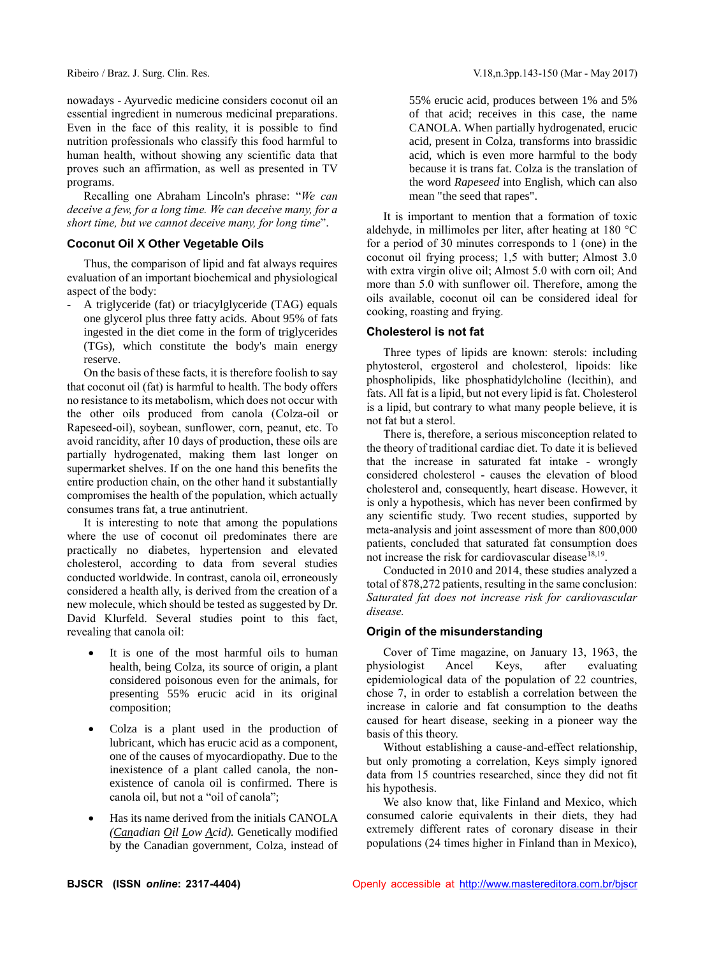nowadays - Ayurvedic medicine considers coconut oil an essential ingredient in numerous medicinal preparations. Even in the face of this reality, it is possible to find nutrition professionals who classify this food harmful to human health, without showing any scientific data that proves such an affirmation, as well as presented in TV programs.

Recalling one Abraham Lincoln's phrase: "*We can deceive a few, for a long time. We can deceive many, for a short time, but we cannot deceive many, for long time*".

## **Coconut Oil X Other Vegetable Oils**

Thus, the comparison of lipid and fat always requires evaluation of an important biochemical and physiological aspect of the body:

A triglyceride (fat) or triacylglyceride (TAG) equals one glycerol plus three fatty acids. About 95% of fats ingested in the diet come in the form of triglycerides (TGs), which constitute the body's main energy reserve.

On the basis of these facts, it is therefore foolish to say that coconut oil (fat) is harmful to health. The body offers no resistance to its metabolism, which does not occur with the other oils produced from canola (Colza-oil or Rapeseed-oil), soybean, sunflower, corn, peanut, etc. To avoid rancidity, after 10 days of production, these oils are partially hydrogenated, making them last longer on supermarket shelves. If on the one hand this benefits the entire production chain, on the other hand it substantially compromises the health of the population, which actually consumes trans fat, a true antinutrient.

It is interesting to note that among the populations where the use of coconut oil predominates there are practically no diabetes, hypertension and elevated cholesterol, according to data from several studies conducted worldwide. In contrast, canola oil, erroneously considered a health ally, is derived from the creation of a new molecule, which should be tested as suggested by Dr. David Klurfeld. Several studies point to this fact, revealing that canola oil:

- It is one of the most harmful oils to human health, being Colza, its source of origin, a plant considered poisonous even for the animals, for presenting 55% erucic acid in its original composition;
- Colza is a plant used in the production of lubricant, which has erucic acid as a component, one of the causes of myocardiopathy. Due to the inexistence of a plant called canola, the nonexistence of canola oil is confirmed. There is canola oil, but not a "oil of canola";
- Has its name derived from the initials CANOLA *(Canadian Oil Low Acid).* Genetically modified by the Canadian government, Colza, instead of

55% erucic acid, produces between 1% and 5% of that acid; receives in this case, the name CANOLA. When partially hydrogenated, erucic acid, present in Colza, transforms into brassidic acid, which is even more harmful to the body because it is trans fat. Colza is the translation of the word *Rapeseed* into English, which can also mean "the seed that rapes".

It is important to mention that a formation of toxic aldehyde, in millimoles per liter, after heating at 180 °C for a period of 30 minutes corresponds to 1 (one) in the coconut oil frying process; 1,5 with butter; Almost 3.0 with extra virgin olive oil; Almost 5.0 with corn oil; And more than 5.0 with sunflower oil. Therefore, among the oils available, coconut oil can be considered ideal for cooking, roasting and frying.

### **Cholesterol is not fat**

Three types of lipids are known: sterols: including phytosterol, ergosterol and cholesterol, lipoids: like phospholipids, like phosphatidylcholine (lecithin), and fats. All fat is a lipid, but not every lipid is fat. Cholesterol is a lipid, but contrary to what many people believe, it is not fat but a sterol.

There is, therefore, a serious misconception related to the theory of traditional cardiac diet. To date it is believed that the increase in saturated fat intake - wrongly considered cholesterol - causes the elevation of blood cholesterol and, consequently, heart disease. However, it is only a hypothesis, which has never been confirmed by any scientific study. Two recent studies, supported by meta-analysis and joint assessment of more than 800,000 patients, concluded that saturated fat consumption does not increase the risk for cardiovascular disease<sup>18,19</sup>.

Conducted in 2010 and 2014, these studies analyzed a total of 878,272 patients, resulting in the same conclusion: *Saturated fat does not increase risk for cardiovascular disease.*

## **Origin of the misunderstanding**

Cover of Time magazine, on January 13, 1963, the physiologist Ancel Keys, after evaluating epidemiological data of the population of 22 countries, chose 7, in order to establish a correlation between the increase in calorie and fat consumption to the deaths caused for heart disease, seeking in a pioneer way the basis of this theory.

Without establishing a cause-and-effect relationship, but only promoting a correlation, Keys simply ignored data from 15 countries researched, since they did not fit his hypothesis.

We also know that, like Finland and Mexico, which consumed calorie equivalents in their diets, they had extremely different rates of coronary disease in their populations (24 times higher in Finland than in Mexico),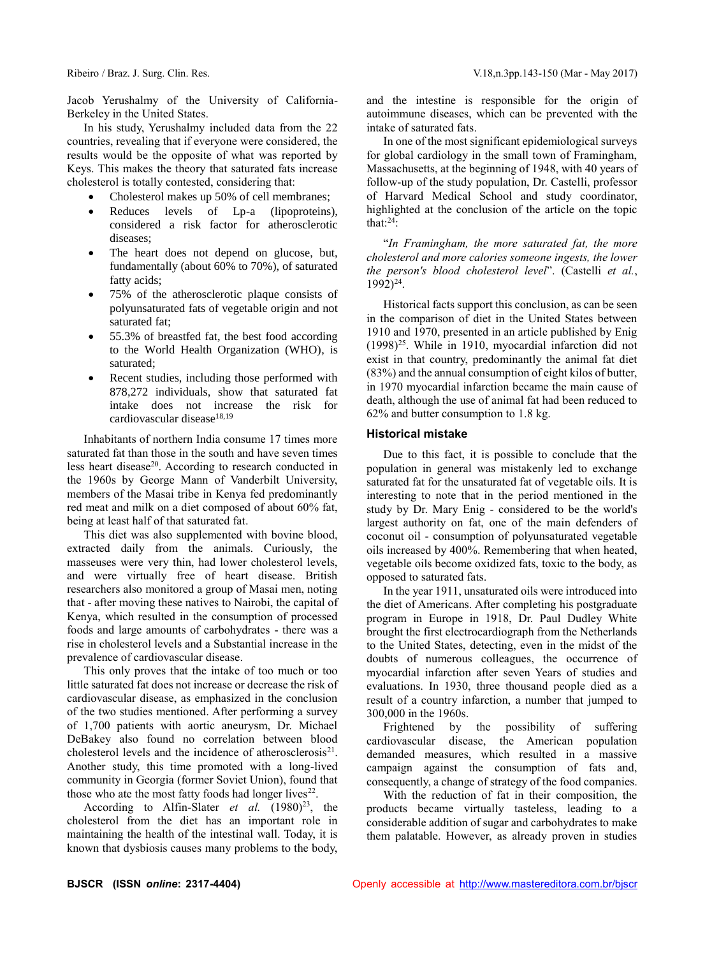Jacob Yerushalmy of the University of California-Berkeley in the United States.

In his study, Yerushalmy included data from the 22 countries, revealing that if everyone were considered, the results would be the opposite of what was reported by Keys. This makes the theory that saturated fats increase cholesterol is totally contested, considering that:

- Cholesterol makes up 50% of cell membranes;
- Reduces levels of Lp-a (lipoproteins), considered a risk factor for atherosclerotic diseases;
- The heart does not depend on glucose, but, fundamentally (about 60% to 70%), of saturated fatty acids;
- 75% of the atherosclerotic plaque consists of polyunsaturated fats of vegetable origin and not saturated fat;
- 55.3% of breastfed fat, the best food according to the World Health Organization (WHO), is saturated;
- Recent studies, including those performed with 878,272 individuals, show that saturated fat intake does not increase the risk for cardiovascular disease $18,19$

Inhabitants of northern India consume 17 times more saturated fat than those in the south and have seven times less heart disease<sup>20</sup>. According to research conducted in the 1960s by George Mann of Vanderbilt University, members of the Masai tribe in Kenya fed predominantly red meat and milk on a diet composed of about 60% fat, being at least half of that saturated fat.

This diet was also supplemented with bovine blood, extracted daily from the animals. Curiously, the masseuses were very thin, had lower cholesterol levels, and were virtually free of heart disease. British researchers also monitored a group of Masai men, noting that - after moving these natives to Nairobi, the capital of Kenya, which resulted in the consumption of processed foods and large amounts of carbohydrates - there was a rise in cholesterol levels and a Substantial increase in the prevalence of cardiovascular disease.

This only proves that the intake of too much or too little saturated fat does not increase or decrease the risk of cardiovascular disease, as emphasized in the conclusion of the two studies mentioned. After performing a survey of 1,700 patients with aortic aneurysm, Dr. Michael DeBakey also found no correlation between blood cholesterol levels and the incidence of atherosclerosis $^{21}$ . Another study, this time promoted with a long-lived community in Georgia (former Soviet Union), found that those who ate the most fatty foods had longer lives $^{22}$ .

According to Alfin-Slater *et al.* (1980)<sup>23</sup>, the cholesterol from the diet has an important role in maintaining the health of the intestinal wall. Today, it is known that dysbiosis causes many problems to the body,

and the intestine is responsible for the origin of autoimmune diseases, which can be prevented with the intake of saturated fats.

In one of the most significant epidemiological surveys for global cardiology in the small town of Framingham, Massachusetts, at the beginning of 1948, with 40 years of follow-up of the study population, Dr. Castelli, professor of Harvard Medical School and study coordinator, highlighted at the conclusion of the article on the topic that: $24$ :

"*In Framingham, the more saturated fat, the more cholesterol and more calories someone ingests, the lower the person's blood cholesterol level*". (Castelli *et al.*, 1992)<sup>24</sup>.

Historical facts support this conclusion, as can be seen in the comparison of diet in the United States between 1910 and 1970, presented in an article published by Enig  $(1998)^{25}$ . While in 1910, myocardial infarction did not exist in that country, predominantly the animal fat diet (83%) and the annual consumption of eight kilos of butter, in 1970 myocardial infarction became the main cause of death, although the use of animal fat had been reduced to 62% and butter consumption to 1.8 kg.

#### **Historical mistake**

Due to this fact, it is possible to conclude that the population in general was mistakenly led to exchange saturated fat for the unsaturated fat of vegetable oils. It is interesting to note that in the period mentioned in the study by Dr. Mary Enig - considered to be the world's largest authority on fat, one of the main defenders of coconut oil - consumption of polyunsaturated vegetable oils increased by 400%. Remembering that when heated, vegetable oils become oxidized fats, toxic to the body, as opposed to saturated fats.

In the year 1911, unsaturated oils were introduced into the diet of Americans. After completing his postgraduate program in Europe in 1918, Dr. Paul Dudley White brought the first electrocardiograph from the Netherlands to the United States, detecting, even in the midst of the doubts of numerous colleagues, the occurrence of myocardial infarction after seven Years of studies and evaluations. In 1930, three thousand people died as a result of a country infarction, a number that jumped to 300,000 in the 1960s.

Frightened by the possibility of suffering cardiovascular disease, the American population demanded measures, which resulted in a massive campaign against the consumption of fats and, consequently, a change of strategy of the food companies.

With the reduction of fat in their composition, the products became virtually tasteless, leading to a considerable addition of sugar and carbohydrates to make them palatable. However, as already proven in studies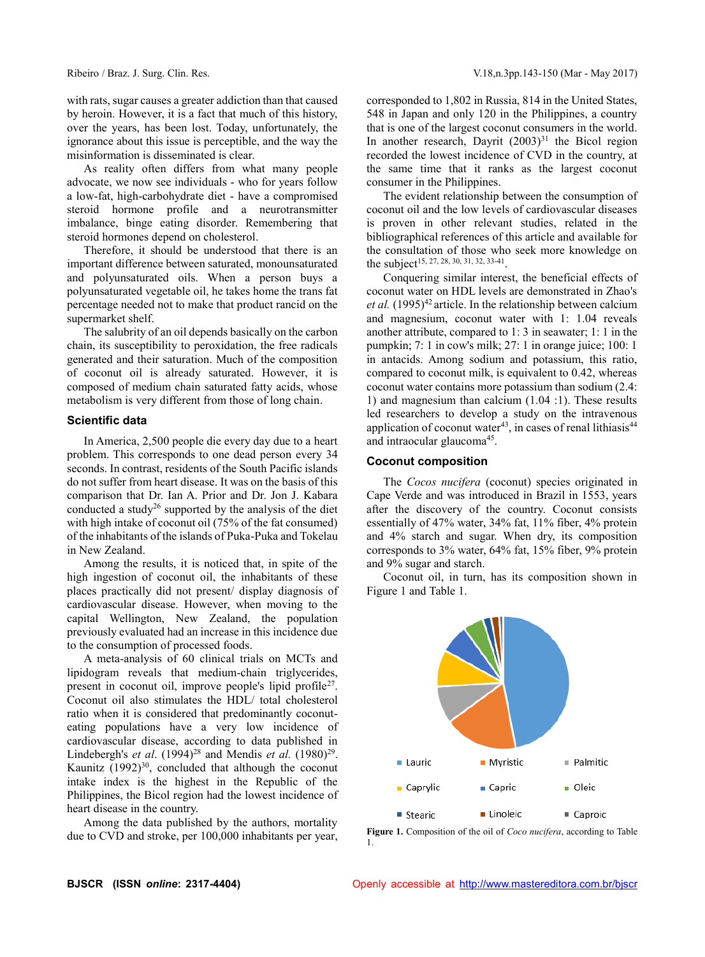with rats, sugar causes a greater addiction than that caused by heroin. However, it is a fact that much of this history, over the years, has been lost. Today, unfortunately, the ignorance about this issue is perceptible, and the way the misinformation is disseminated is clear.

As reality often differs from what many people advocate, we now see individuals - who for years follow a low-fat, high-carbohydrate diet - have a compromised steroid hormone profile and a neurotransmitter imbalance, binge eating disorder. Remembering that steroid hormones depend on cholesterol.

Therefore, it should be understood that there is an important difference between saturated, monounsaturated and polyunsaturated oils. When a person buys a polyunsaturated vegetable oil, he takes home the trans fat percentage needed not to make that product rancid on the supermarket shelf.

The salubrity of an oil depends basically on the carbon chain, its susceptibility to peroxidation, the free radicals generated and their saturation. Much of the composition of coconut oil is already saturated. However, it is composed of medium chain saturated fatty acids, whose metabolism is very different from those of long chain.

#### **Scientific data**

In America, 2,500 people die every day due to a heart problem. This corresponds to one dead person every 34 seconds. In contrast, residents of the South Pacific islands do not suffer from heart disease. It was on the basis of this comparison that Dr. Ian A. Prior and Dr. Jon J. Kabara conducted a study<sup>26</sup> supported by the analysis of the diet with high intake of coconut oil (75% of the fat consumed) of the inhabitants of the islands of Puka-Puka and Tokelau in New Zealand.

Among the results, it is noticed that, in spite of the high ingestion of coconut oil, the inhabitants of these places practically did not present/ display diagnosis of cardiovascular disease. However, when moving to the capital Wellington, New Zealand, the population previously evaluated had an increase in this incidence due to the consumption of processed foods.

A meta-analysis of 60 clinical trials on MCTs and lipidogram reveals that medium-chain triglycerides, present in coconut oil, improve people's lipid profile<sup>27</sup>. Coconut oil also stimulates the HDL/ total cholesterol ratio when it is considered that predominantly coconuteating populations have a very low incidence of cardiovascular disease, according to data published in Lindebergh's *et al.*  $(1994)^{28}$  and Mendis *et al.*  $(1980)^{29}$ . Kaunitz  $(1992)^{30}$ , concluded that although the coconut intake index is the highest in the Republic of the Philippines, the Bicol region had the lowest incidence of heart disease in the country.

Among the data published by the authors, mortality due to CVD and stroke, per 100,000 inhabitants per year, corresponded to 1,802 in Russia, 814 in the United States, 548 in Japan and only 120 in the Philippines, a country that is one of the largest coconut consumers in the world. In another research, Dayrit  $(2003)^{31}$  the Bicol region recorded the lowest incidence of CVD in the country, at the same time that it ranks as the largest coconut consumer in the Philippines.

The evident relationship between the consumption of coconut oil and the low levels of cardiovascular diseases is proven in other relevant studies, related in the bibliographical references of this article and available for the consultation of those who seek more knowledge on the subject<sup>15, 27, 28, 30, 31, 32, 33-41</sup>.

Conquering similar interest, the beneficial effects of coconut water on HDL levels are demonstrated in Zhao's et al. (1995)<sup>42</sup> article. In the relationship between calcium and magnesium, coconut water with 1: 1.04 reveals another attribute, compared to 1: 3 in seawater; 1: 1 in the pumpkin; 7: 1 in cow's milk; 27: 1 in orange juice; 100: 1 in antacids. Among sodium and potassium, this ratio, compared to coconut milk, is equivalent to 0.42, whereas coconut water contains more potassium than sodium (2.4: 1) and magnesium than calcium (1.04 :1). These results led researchers to develop a study on the intravenous application of coconut water $43$ , in cases of renal lithiasis $44$ and intraocular glaucoma<sup>45</sup>.

#### **Coconut composition**

The *Cocos nucifera* (coconut) species originated in Cape Verde and was introduced in Brazil in 1553, years after the discovery of the country. Coconut consists essentially of 47% water, 34% fat, 11% fiber, 4% protein and 4% starch and sugar. When dry, its composition corresponds to 3% water, 64% fat, 15% fiber, 9% protein and 9% sugar and starch.

Coconut oil, in turn, has its composition shown in Figure 1 and Table 1.



**Figure 1.** Composition of the oil of *Coco nucifera*, according to Table 1.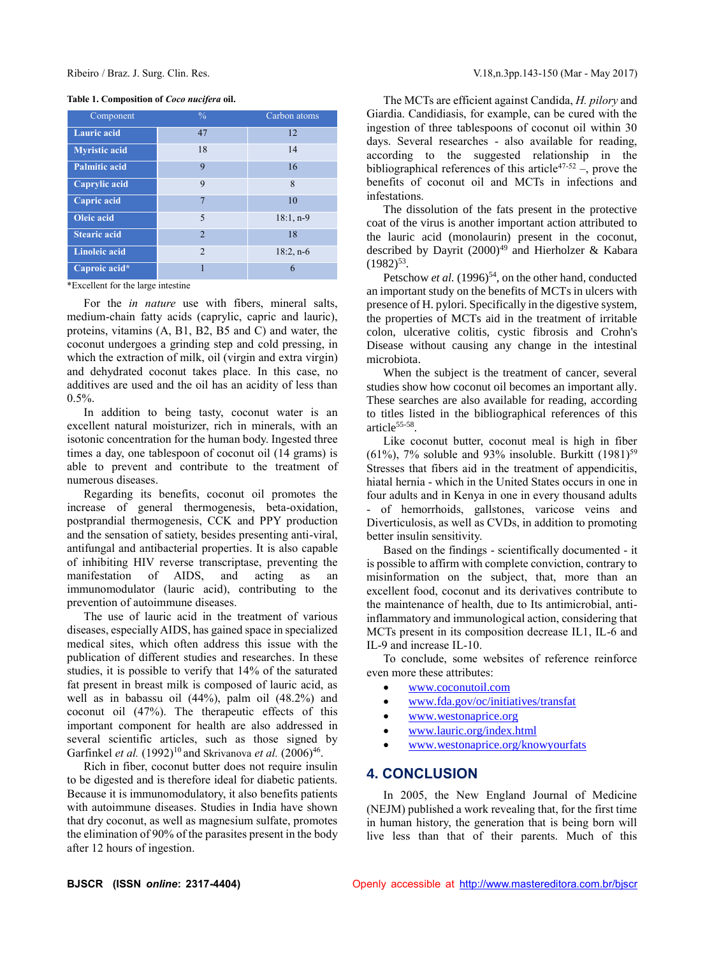#### **Table 1. Composition of** *Coco nucifera* **oil.**

| Component            | $\frac{0}{6}$  | Carbon atoms |
|----------------------|----------------|--------------|
| <b>Lauric</b> acid   | 47             | 12           |
| <b>Myristic acid</b> | 18             | 14           |
| <b>Palmitic acid</b> | 9              | 16           |
| Caprylic acid        | 9              | 8            |
| Capric acid          | $\overline{7}$ | 10           |
| <b>Oleic</b> acid    | 5              | $18:1, n-9$  |
| <b>Stearic acid</b>  | $\mathfrak{D}$ | 18           |
| <b>Linoleic acid</b> | $\mathfrak{D}$ | $18:2, n-6$  |
| Caproic acid*        |                | 6            |

\*Excellent for the large intestine

For the *in nature* use with fibers, mineral salts, medium-chain fatty acids (caprylic, capric and lauric), proteins, vitamins (A, B1, B2, B5 and C) and water, the coconut undergoes a grinding step and cold pressing, in which the extraction of milk, oil (virgin and extra virgin) and dehydrated coconut takes place. In this case, no additives are used and the oil has an acidity of less than  $0.5\%$ .

In addition to being tasty, coconut water is an excellent natural moisturizer, rich in minerals, with an isotonic concentration for the human body. Ingested three times a day, one tablespoon of coconut oil (14 grams) is able to prevent and contribute to the treatment of numerous diseases.

Regarding its benefits, coconut oil promotes the increase of general thermogenesis, beta-oxidation, postprandial thermogenesis, CCK and PPY production and the sensation of satiety, besides presenting anti-viral, antifungal and antibacterial properties. It is also capable of inhibiting HIV reverse transcriptase, preventing the manifestation of AIDS, and acting as an immunomodulator (lauric acid), contributing to the prevention of autoimmune diseases.

The use of lauric acid in the treatment of various diseases, especially AIDS, has gained space in specialized medical sites, which often address this issue with the publication of different studies and researches. In these studies, it is possible to verify that 14% of the saturated fat present in breast milk is composed of lauric acid, as well as in babassu oil (44%), palm oil (48.2%) and coconut oil (47%). The therapeutic effects of this important component for health are also addressed in several scientific articles, such as those signed by Garfinkel *et al.* (1992)<sup>10</sup> and Skrivanova *et al.* (2006)<sup>46</sup>.

Rich in fiber, coconut butter does not require insulin to be digested and is therefore ideal for diabetic patients. Because it is immunomodulatory, it also benefits patients with autoimmune diseases. Studies in India have shown that dry coconut, as well as magnesium sulfate, promotes the elimination of 90% of the parasites present in the body after 12 hours of ingestion.

The MCTs are efficient against Candida, *H. pilory* and Giardia. Candidiasis, for example, can be cured with the ingestion of three tablespoons of coconut oil within 30 days. Several researches - also available for reading, according to the suggested relationship in the bibliographical references of this article<sup>47-52</sup> –, prove the benefits of coconut oil and MCTs in infections and infestations.

The dissolution of the fats present in the protective coat of the virus is another important action attributed to the lauric acid (monolaurin) present in the coconut, described by Dayrit  $(2000)^{49}$  and Hierholzer & Kabara  $(1982)^{53}$ .

Petschow *et al.* (1996)<sup>54</sup>, on the other hand, conducted an important study on the benefits of MCTs in ulcers with presence of H. pylori. Specifically in the digestive system, the properties of MCTs aid in the treatment of irritable colon, ulcerative colitis, cystic fibrosis and Crohn's Disease without causing any change in the intestinal microbiota.

When the subject is the treatment of cancer, several studies show how coconut oil becomes an important ally. These searches are also available for reading, according to titles listed in the bibliographical references of this article<sup>55-58</sup>.

Like coconut butter, coconut meal is high in fiber (61%), 7% soluble and 93% insoluble. Burkitt  $(1981)^{59}$ Stresses that fibers aid in the treatment of appendicitis, hiatal hernia - which in the United States occurs in one in four adults and in Kenya in one in every thousand adults - of hemorrhoids, gallstones, varicose veins and Diverticulosis, as well as CVDs, in addition to promoting better insulin sensitivity.

Based on the findings - scientifically documented - it is possible to affirm with complete conviction, contrary to misinformation on the subject, that, more than an excellent food, coconut and its derivatives contribute to the maintenance of health, due to Its antimicrobial, antiinflammatory and immunological action, considering that MCTs present in its composition decrease IL1, IL-6 and IL-9 and increase IL-10.

To conclude, some websites of reference reinforce even more these attributes:

- [www.coconutoil.com](http://www.coconutoil.com/)
- [www.fda.gov/oc/initiatives/transfat](http://www.fda.gov/oc/initiatives/transfat)
- [www.westonaprice.org](http://www.westonaprice.org/)
- [www.lauric.org/index.html](http://www.lauric.org/index.html)
- [www.westonaprice.org/knowyourfats](http://www.westonaprice.org/knowyourfats)

# **4. CONCLUSION**

In 2005, the New England Journal of Medicine (NEJM) published a work revealing that, for the first time in human history, the generation that is being born will live less than that of their parents. Much of this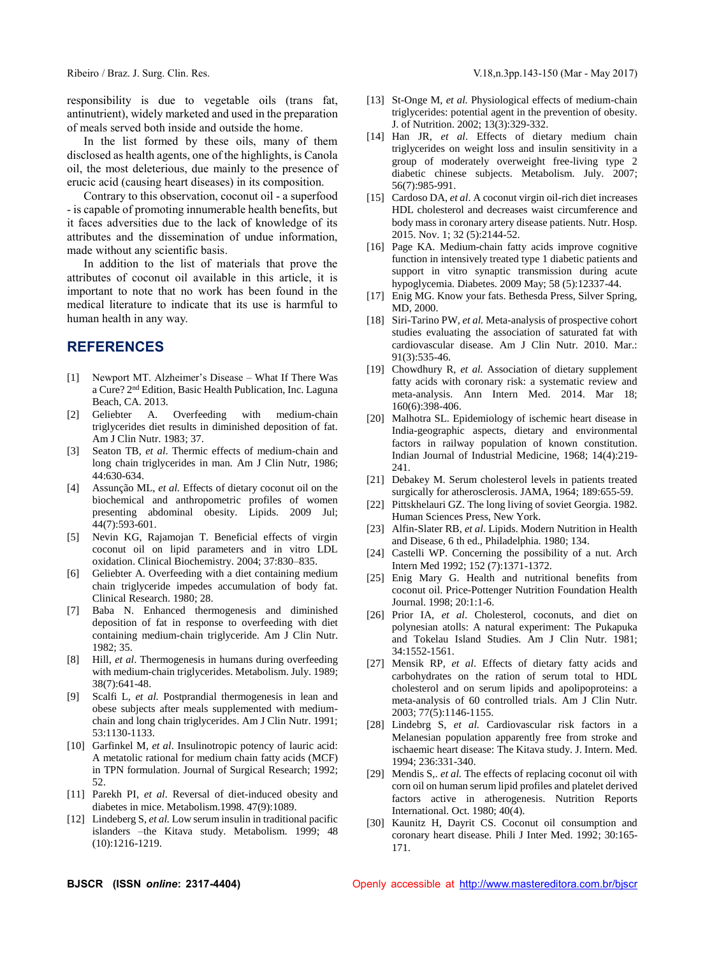responsibility is due to vegetable oils (trans fat, antinutrient), widely marketed and used in the preparation of meals served both inside and outside the home.

In the list formed by these oils, many of them disclosed as health agents, one of the highlights, is Canola oil, the most deleterious, due mainly to the presence of erucic acid (causing heart diseases) in its composition.

Contrary to this observation, coconut oil - a superfood - is capable of promoting innumerable health benefits, but it faces adversities due to the lack of knowledge of its attributes and the dissemination of undue information, made without any scientific basis.

In addition to the list of materials that prove the attributes of coconut oil available in this article, it is important to note that no work has been found in the medical literature to indicate that its use is harmful to human health in any way.

# **REFERENCES**

- [1] Newport MT. Alzheimer's Disease What If There Was a Cure? 2nd Edition, Basic Health Publication, Inc. Laguna Beach, CA. 2013.
- [2] Geliebter A. Overfeeding with medium-chain triglycerides diet results in diminished deposition of fat. Am J Clin Nutr. 1983; 37.
- [3] Seaton TB, *et al*. Thermic effects of medium-chain and long chain triglycerides in man*.* Am J Clin Nutr, 1986; 44:630-634.
- [4] Assunção ML, *et al.* Effects of dietary coconut oil on the biochemical and anthropometric profiles of women presenting abdominal obesity. Lipids. 2009 Jul; 44(7):593-601.
- [5] Nevin KG, Rajamojan T. Beneficial effects of virgin coconut oil on lipid parameters and in vitro LDL oxidation. Clinical Biochemistry. 2004; 37:830–835.
- [6] Geliebter A. Overfeeding with a diet containing medium chain triglyceride impedes accumulation of body fat. Clinical Research. 1980; 28.
- [7] Baba N. Enhanced thermogenesis and diminished deposition of fat in response to overfeeding with diet containing medium-chain triglyceride. Am J Clin Nutr. 1982; 35.
- [8] Hill, *et al*. Thermogenesis in humans during overfeeding with medium-chain triglycerides. Metabolism. July. 1989; 38(7):641-48.
- [9] Scalfi L*, et al.* Postprandial thermogenesis in lean and obese subjects after meals supplemented with mediumchain and long chain triglycerides. Am J Clin Nutr. 1991; 53:1130-1133.
- [10] Garfinkel M*, et al*. Insulinotropic potency of lauric acid: A metatolic rational for medium chain fatty acids (MCF) in TPN formulation. Journal of Surgical Research; 1992; 52.
- [11] Parekh PI, *et al*. Reversal of diet-induced obesity and diabetes in mice. Metabolism.1998. 47(9):1089.
- [12] Lindeberg S, *et al.* Low serum insulin in traditional pacific islanders –the Kitava study. Metabolism. 1999; 48 (10):1216-1219.
- [13] St-Onge M, *et al.* Physiological effects of medium-chain triglycerides: potential agent in the prevention of obesity*.* J. of Nutrition. 2002; 13(3):329-332.
- [14] Han JR, *et al*. Effects of dietary medium chain triglycerides on weight loss and insulin sensitivity in a group of moderately overweight free-living type 2 diabetic chinese subjects. Metabolism. July. 2007; 56(7):985-991.
- [15] Cardoso DA, *et al.* A coconut virgin oil-rich diet increases HDL cholesterol and decreases waist circumference and body mass in coronary artery disease patients. Nutr. Hosp. 2015. Nov. 1; 32 (5):2144-52.
- [16] Page KA. Medium-chain fatty acids improve cognitive function in intensively treated type 1 diabetic patients and support in vitro synaptic transmission during acute hypoglycemia. Diabetes. 2009 May; 58 (5):12337-44.
- [17] Enig MG. Know your fats. Bethesda Press, Silver Spring, MD, 2000.
- [18] Siri-Tarino PW*, et al.* Meta-analysis of prospective cohort studies evaluating the association of saturated fat with cardiovascular disease. Am J Clin Nutr. 2010. Mar.: 91(3):535-46.
- [19] Chowdhury R, *et al.* Association of dietary supplement fatty acids with coronary risk: a systematic review and meta-analysis. Ann Intern Med. 2014. Mar 18; 160(6):398-406.
- [20] Malhotra SL. Epidemiology of ischemic heart disease in India-geographic aspects, dietary and environmental factors in railway population of known constitution. Indian Journal of Industrial Medicine, 1968; 14(4):219- 241.
- [21] Debakey M. Serum cholesterol levels in patients treated surgically for atherosclerosis. JAMA, 1964; 189:655-59.
- [22] Pittskhelauri GZ. The long living of soviet Georgia. 1982. Human Sciences Press, New York.
- [23] Alfin-Slater RB, *et al*. Lipids. Modern Nutrition in Health and Disease, 6 th ed., Philadelphia. 1980; 134.
- [24] Castelli WP. Concerning the possibility of a nut. Arch Intern Med 1992; 152 (7):1371-1372.
- [25] Enig Mary G. Health and nutritional benefits from coconut oil. Price-Pottenger Nutrition Foundation Health Journal. 1998; 20:1:1-6.
- [26] Prior IA, *et al.* Cholesterol, coconuts, and diet on polynesian atolls: A natural experiment: The Pukapuka and Tokelau Island Studies. Am J Clin Nutr. 1981; 34:1552-1561.
- [27] Mensik RP, *et al*. Effects of dietary fatty acids and carbohydrates on the ration of serum total to HDL cholesterol and on serum lipids and apolipoproteins: a meta-analysis of 60 controlled trials. Am J Clin Nutr. 2003; 77(5):1146-1155.
- [28] Lindebrg S, *et al.* Cardiovascular risk factors in a Melanesian population apparently free from stroke and ischaemic heart disease: The Kitava study. J. Intern. Med. 1994; 236:331-340.
- [29] Mendis S,. *et al*. The effects of replacing coconut oil with corn oil on human serum lipid profiles and platelet derived factors active in atherogenesis. Nutrition Reports International. Oct. 1980; 40(4).
- [30] Kaunitz H, Dayrit CS. Coconut oil consumption and coronary heart disease. Phili J Inter Med. 1992; 30:165- 171.